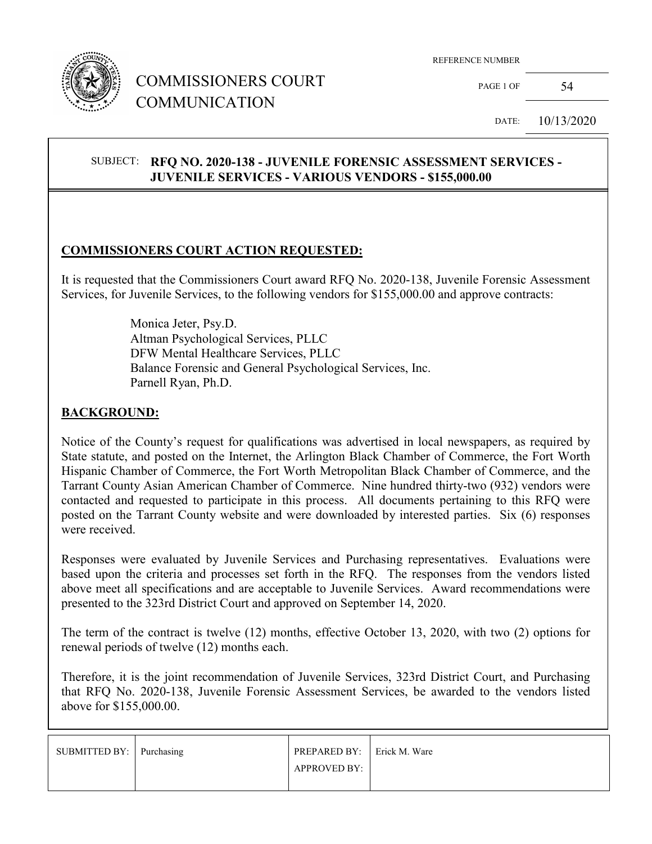

## COMMISSIONERS COURT COMMUNICATION

REFERENCE NUMBER

 $PAGE 1 OF$  54

DATE: 10/13/2020

#### SUBJECT: **RFQ NO. 2020-138 - JUVENILE FORENSIC ASSESSMENT SERVICES - JUVENILE SERVICES - VARIOUS VENDORS - \$155,000.00**

#### **COMMISSIONERS COURT ACTION REQUESTED:**

It is requested that the Commissioners Court award RFQ No. 2020-138, Juvenile Forensic Assessment Services, for Juvenile Services, to the following vendors for \$155,000.00 and approve contracts:

> Monica Jeter, Psy.D. Altman Psychological Services, PLLC DFW Mental Healthcare Services, PLLC Balance Forensic and General Psychological Services, Inc. Parnell Ryan, Ph.D.

#### **BACKGROUND:**

Notice of the County's request for qualifications was advertised in local newspapers, as required by State statute, and posted on the Internet, the Arlington Black Chamber of Commerce, the Fort Worth Hispanic Chamber of Commerce, the Fort Worth Metropolitan Black Chamber of Commerce, and the Tarrant County Asian American Chamber of Commerce. Nine hundred thirty-two (932) vendors were contacted and requested to participate in this process. All documents pertaining to this RFQ were posted on the Tarrant County website and were downloaded by interested parties. Six (6) responses were received.

Responses were evaluated by Juvenile Services and Purchasing representatives. Evaluations were based upon the criteria and processes set forth in the RFQ. The responses from the vendors listed above meet all specifications and are acceptable to Juvenile Services. Award recommendations were presented to the 323rd District Court and approved on September 14, 2020.

The term of the contract is twelve (12) months, effective October 13, 2020, with two (2) options for renewal periods of twelve (12) months each.

Therefore, it is the joint recommendation of Juvenile Services, 323rd District Court, and Purchasing that RFQ No. 2020-138, Juvenile Forensic Assessment Services, be awarded to the vendors listed above for \$155,000.00.

| SUBMITTED BY: Purchasing | <b>PREPARED BY:</b> Erick M. Ware<br><b>APPROVED BY:</b> |  |
|--------------------------|----------------------------------------------------------|--|
|                          |                                                          |  |